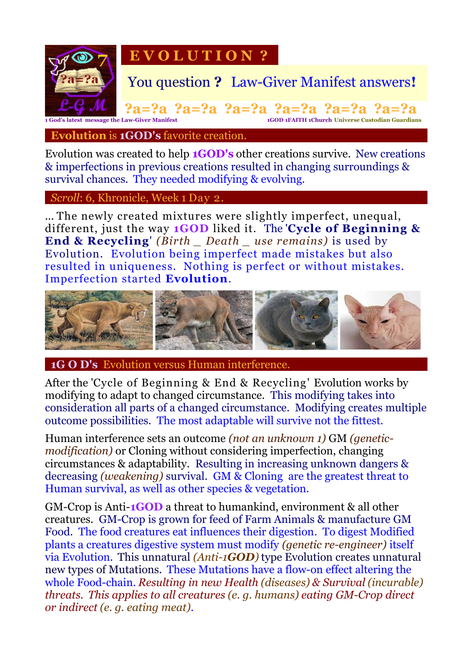

## **Evolution** is **1GOD's** favorite creation.

Evolution was created to help **1GOD's** other creations survive. New creations & imperfections in previous creations resulted in changing surroundings & survival chances. They needed modifying & evolving.

 *Scroll*: 6, Khronicle, Week 1 Day 2.

... The newly created mixtures were slightly imperfect, unequal, different, just the way **1GOD** liked it. The '**Cycle of Beginning & End & Recycling**' *(Birth \_ Death \_ use remains)* is used by Evolution. Evolution being imperfect made mistakes but also resulted in uniqueness. Nothing is perfect or without mistakes. Imperfection started **Evolution**.



## **1G O D's** Evolution versus Human interference.

After the 'Cycle of Beginning & End & Recycling' Evolution works by modifying to adapt to changed circumstance. This modifying takes into consideration all parts of a changed circumstance. Modifying creates multiple outcome possibilities. The most adaptable will survive not the fittest.

Human interference sets an outcome *(not an unknown 1)* GM *(geneticmodification)* or Cloning without considering imperfection, changing circumstances & adaptability. Resulting in increasing unknown dangers & decreasing *(weakening)* survival. GM & Cloning are the greatest threat to Human survival, as well as other species & vegetation.

GM-Crop is Anti-**1GOD** a threat to humankind, environment & all other creatures. GM-Crop is grown for feed of Farm Animals & manufacture GM Food. The food creatures eat influences their digestion. To digest Modified plants a creatures digestive system must modify *(genetic re-engineer)* itself via Evolution. This unnatural *(Anti-1GOD)* type Evolution creates unnatural new types of Mutations. These Mutations have a flow-on effect altering the whole Food-chain. *Resulting in new Health (diseases) & Survival (incurable) threats. This applies to all creatures (e. g. humans) eating GM-Crop direct or indirect (e. g. eating meat)*.